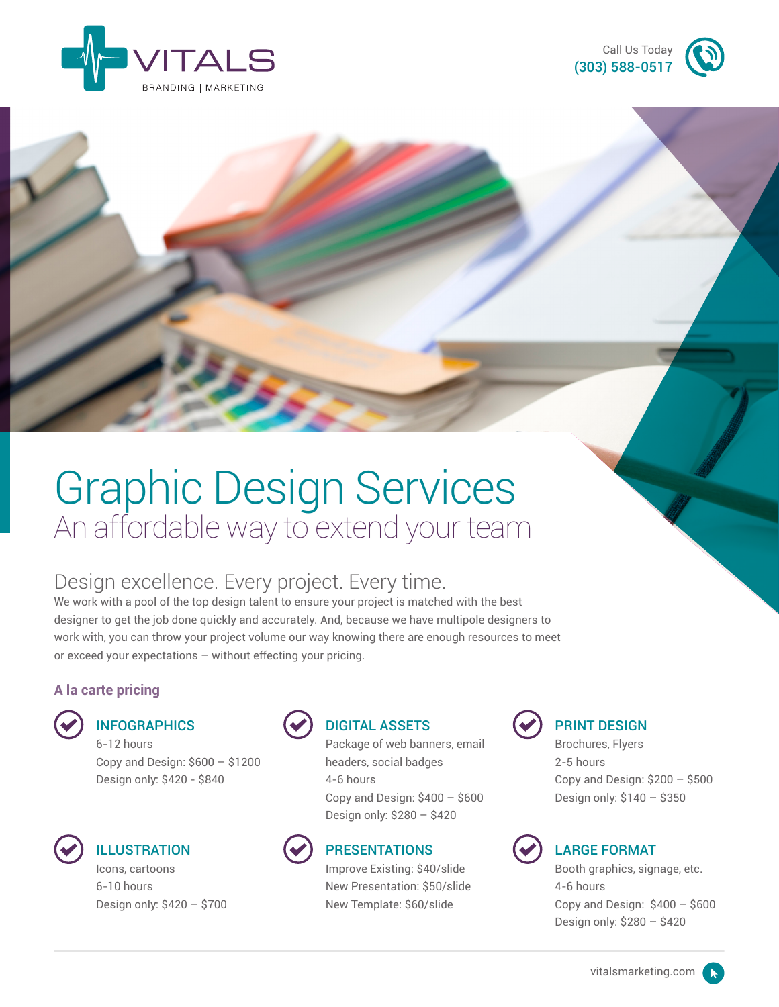



# Graphic Design Services An affordable way to extend your team

### Design excellence. Every project. Every time.

We work with a pool of the top design talent to ensure your project is matched with the best designer to get the job done quickly and accurately. And, because we have multipole designers to work with, you can throw your project volume our way knowing there are enough resources to meet or exceed your expectations – without effecting your pricing.

### **A la carte pricing**

### **INFOGRAPHICS**

6-12 hours Copy and Design: \$600 – \$1200 Design only: \$420 - \$840



### **ILLUSTRATION**

Icons, cartoons 6-10 hours Design only: \$420 – \$700



### DIGITAL ASSETS

Package of web banners, email headers, social badges 4-6 hours Copy and Design: \$400 – \$600 Design only: \$280 – \$420



### PRESENTATIONS

Improve Existing: \$40/slide New Presentation: \$50/slide New Template: \$60/slide



### PRINT DESIGN

Brochures, Flyers 2-5 hours Copy and Design:  $$200 - $500$ Design only: \$140 – \$350



### LARGE FORMAT

Booth graphics, signage, etc. 4-6 hours Copy and Design:  $$400 - $600$ Design only: \$280 – \$420